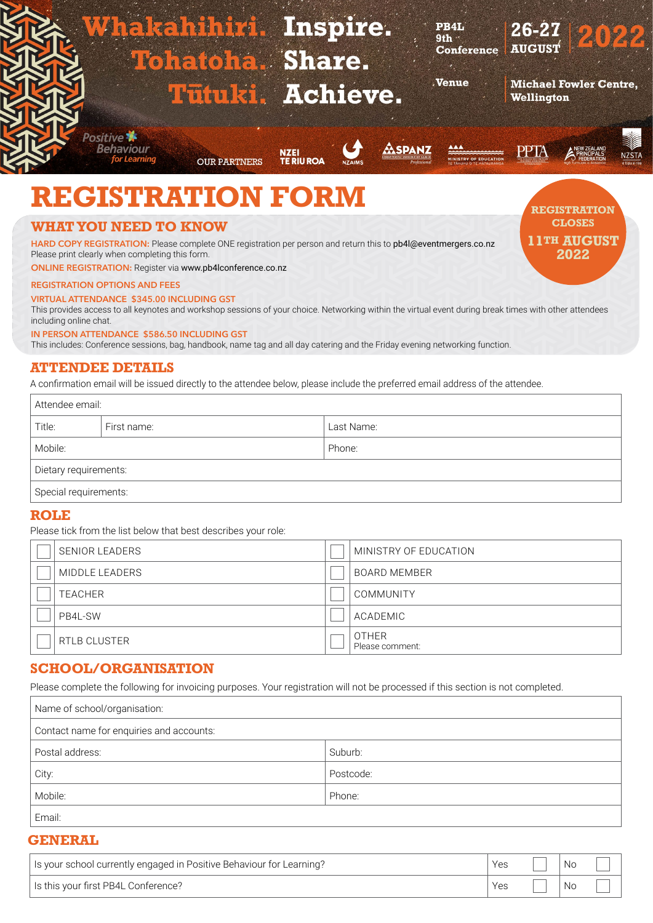

# **ATTENDEE DETAILS**

A confirmation email will be issued directly to the attendee below, please include the preferred email address of the attendee.

| Attendee email:       |             |            |  |
|-----------------------|-------------|------------|--|
| Title:                | First name: | Last Name: |  |
| Mobile:               |             | Phone:     |  |
| Dietary requirements: |             |            |  |
| Special requirements: |             |            |  |

## **ROLE**

Please tick from the list below that best describes your role:

| <b>SENIOR LEADERS</b> | MINISTRY OF EDUCATION           |
|-----------------------|---------------------------------|
| MIDDLE LEADERS        | <b>BOARD MEMBER</b>             |
| <b>TEACHER</b>        | <b>COMMUNITY</b>                |
| PB4L-SW               | ACADEMIC                        |
| <b>RTLB CLUSTER</b>   | <b>OTHER</b><br>Please comment: |

# **SCHOOL/ORGANISATION**

Please complete the following for invoicing purposes. Your registration will not be processed if this section is not completed.

| Name of school/organisation:             |           |
|------------------------------------------|-----------|
| Contact name for enquiries and accounts: |           |
| Postal address:                          | Suburb:   |
| City:                                    | Postcode: |
| Mobile:                                  | Phone:    |
| Email:                                   |           |

### **GENERAL**

| Is your school currently engaged in Positive Behaviour for Learning? | Yes | .No       |  |
|----------------------------------------------------------------------|-----|-----------|--|
| Is this your first PB4L Conference?                                  | Yes | <b>Nc</b> |  |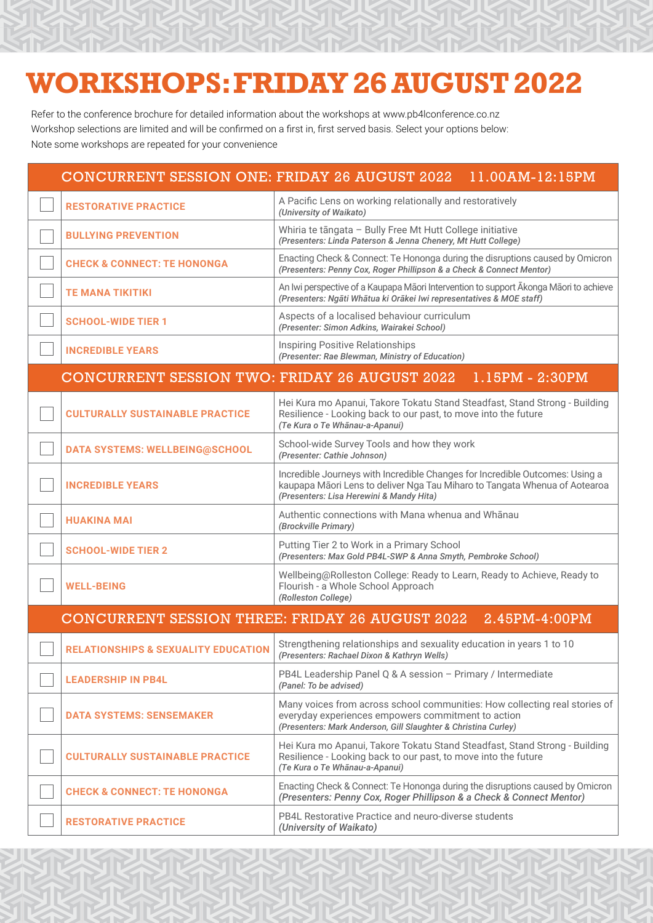# **WORKSHOPS: FRIDAY 26 AUGUST 2022**

Refer to the conference brochure for detailed information about the workshops at www.pb4lconference.co.nz Workshop selections are limited and will be confirmed on a first in, first served basis. Select your options below: Note some workshops are repeated for your convenience

| <b>CONCURRENT SESSION ONE: FRIDAY 26 AUGUST 2022</b>   | 11.00AM-12:15PM                                                                                                                                                                                        |
|--------------------------------------------------------|--------------------------------------------------------------------------------------------------------------------------------------------------------------------------------------------------------|
| <b>RESTORATIVE PRACTICE</b>                            | A Pacific Lens on working relationally and restoratively<br>(University of Waikato)                                                                                                                    |
| <b>BULLYING PREVENTION</b>                             | Whiria te tāngata - Bully Free Mt Hutt College initiative<br>(Presenters: Linda Paterson & Jenna Chenery, Mt Hutt College)                                                                             |
| <b>CHECK &amp; CONNECT: TE HONONGA</b>                 | Enacting Check & Connect: Te Hononga during the disruptions caused by Omicron<br>(Presenters: Penny Cox, Roger Phillipson & a Check & Connect Mentor)                                                  |
| <b>TE MANA TIKITIKI</b>                                | An Iwi perspective of a Kaupapa Māori Intervention to support Akonga Māori to achieve<br>(Presenters: Ngāti Whātua ki Orākei Iwi representatives & MOE staff)                                          |
| <b>SCHOOL-WIDE TIER 1</b>                              | Aspects of a localised behaviour curriculum<br>(Presenter: Simon Adkins, Wairakei School)                                                                                                              |
| <b>INCREDIBLE YEARS</b>                                | <b>Inspiring Positive Relationships</b><br>(Presenter: Rae Blewman, Ministry of Education)                                                                                                             |
| <b>CONCURRENT SESSION TWO: FRIDAY 26 AUGUST 2022</b>   | $1.15PM - 2:30PM$                                                                                                                                                                                      |
| <b>CULTURALLY SUSTAINABLE PRACTICE</b>                 | Hei Kura mo Apanui, Takore Tokatu Stand Steadfast, Stand Strong - Building<br>Resilience - Looking back to our past, to move into the future<br>(Te Kura o Te Whānau-a-Apanui)                         |
| <b>DATA SYSTEMS: WELLBEING@SCHOOL</b>                  | School-wide Survey Tools and how they work<br>(Presenter: Cathie Johnson)                                                                                                                              |
| <b>INCREDIBLE YEARS</b>                                | Incredible Journeys with Incredible Changes for Incredible Outcomes: Using a<br>kaupapa Māori Lens to deliver Nga Tau Miharo to Tangata Whenua of Aotearoa<br>(Presenters: Lisa Herewini & Mandy Hita) |
| <b>HUAKINA MAI</b>                                     | Authentic connections with Mana whenua and Whanau<br>(Brockville Primary)                                                                                                                              |
| <b>SCHOOL-WIDE TIER 2</b>                              | Putting Tier 2 to Work in a Primary School<br>(Presenters: Max Gold PB4L-SWP & Anna Smyth, Pembroke School)                                                                                            |
| <b>WELL-BEING</b>                                      | Wellbeing@Rolleston College: Ready to Learn, Ready to Achieve, Ready to<br>Flourish - a Whole School Approach<br>(Rolleston College)                                                                   |
| <b>CONCURRENT SESSION THREE: FRIDAY 26 AUGUST 2022</b> | 2.45PM-4:00PM                                                                                                                                                                                          |
| <b>RELATIONSHIPS &amp; SEXUALITY EDUCATION</b>         | Strengthening relationships and sexuality education in years 1 to 10<br>(Presenters: Rachael Dixon & Kathryn Wells)                                                                                    |
| <b>LEADERSHIP IN PB4L</b>                              | PB4L Leadership Panel Q & A session - Primary / Intermediate<br>(Panel: To be advised)                                                                                                                 |
| <b>DATA SYSTEMS: SENSEMAKER</b>                        | Many voices from across school communities: How collecting real stories of<br>everyday experiences empowers commitment to action<br>(Presenters: Mark Anderson, Gill Slaughter & Christina Curley)     |
| <b>CULTURALLY SUSTAINABLE PRACTICE</b>                 | Hei Kura mo Apanui, Takore Tokatu Stand Steadfast, Stand Strong - Building<br>Resilience - Looking back to our past, to move into the future<br>(Te Kura o Te Whānau-a-Apanui)                         |
| <b>CHECK &amp; CONNECT: TE HONONGA</b>                 | Enacting Check & Connect: Te Hononga during the disruptions caused by Omicron<br>(Presenters: Penny Cox, Roger Phillipson & a Check & Connect Mentor)                                                  |
| <b>RESTORATIVE PRACTICE</b>                            | PB4L Restorative Practice and neuro-diverse students<br>(University of Waikato)                                                                                                                        |
|                                                        |                                                                                                                                                                                                        |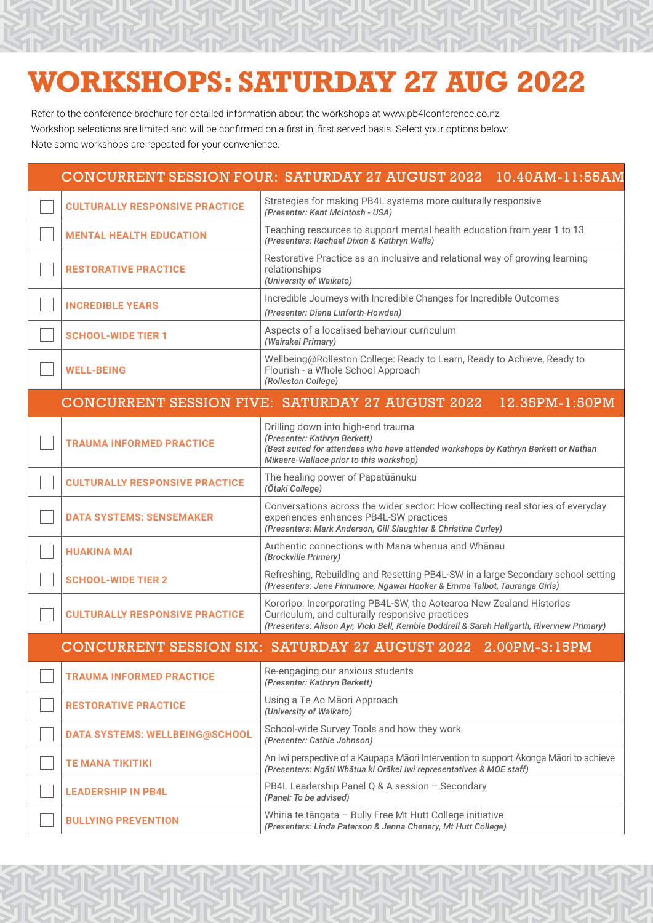# **WORKSHOPS: SATURDAY 27 AUG 2022**

Refer to the conference brochure for detailed information about the workshops at www.pb4lconference.co.nz Workshop selections are limited and will be confirmed on a first in, first served basis. Select your options below: Note some workshops are repeated for your convenience.

|                                       | CONCURRENT SESSION FOUR: SATURDAY 27 AUGUST 2022 10.40AM-11:55AM                                                                                                                                                     |  |
|---------------------------------------|----------------------------------------------------------------------------------------------------------------------------------------------------------------------------------------------------------------------|--|
| <b>CULTURALLY RESPONSIVE PRACTICE</b> | Strategies for making PB4L systems more culturally responsive<br>(Presenter: Kent McIntosh - USA)                                                                                                                    |  |
| <b>MENTAL HEALTH EDUCATION</b>        | Teaching resources to support mental health education from year 1 to 13<br>(Presenters: Rachael Dixon & Kathryn Wells)                                                                                               |  |
| <b>RESTORATIVE PRACTICE</b>           | Restorative Practice as an inclusive and relational way of growing learning<br>relationships<br>(University of Waikato)                                                                                              |  |
| <b>INCREDIBLE YEARS</b>               | Incredible Journeys with Incredible Changes for Incredible Outcomes<br>(Presenter: Diana Linforth-Howden)                                                                                                            |  |
| <b>SCHOOL-WIDE TIER 1</b>             | Aspects of a localised behaviour curriculum<br>(Wairakei Primary)                                                                                                                                                    |  |
| <b>WELL-BEING</b>                     | Wellbeing@Rolleston College: Ready to Learn, Ready to Achieve, Ready to<br>Flourish - a Whole School Approach<br>(Rolleston College)                                                                                 |  |
|                                       | <b>CONCURRENT SESSION FIVE: SATURDAY 27 AUGUST 2022</b><br>12.35PM-1:50PM                                                                                                                                            |  |
| <b>TRAUMA INFORMED PRACTICE</b>       | Drilling down into high-end trauma<br>(Presenter: Kathryn Berkett)<br>(Best suited for attendees who have attended workshops by Kathryn Berkett or Nathan<br>Mikaere-Wallace prior to this workshop)                 |  |
| <b>CULTURALLY RESPONSIVE PRACTICE</b> | The healing power of Papatūānuku<br>(Ōtaki College)                                                                                                                                                                  |  |
| <b>DATA SYSTEMS: SENSEMAKER</b>       | Conversations across the wider sector: How collecting real stories of everyday<br>experiences enhances PB4L-SW practices<br>(Presenters: Mark Anderson, Gill Slaughter & Christina Curley)                           |  |
| <b>HUAKINA MAI</b>                    | Authentic connections with Mana whenua and Whanau<br>(Brockville Primary)                                                                                                                                            |  |
| <b>SCHOOL-WIDE TIER 2</b>             | Refreshing, Rebuilding and Resetting PB4L-SW in a large Secondary school setting<br>(Presenters: Jane Finnimore, Ngawai Hooker & Emma Talbot, Tauranga Girls)                                                        |  |
| <b>CULTURALLY RESPONSIVE PRACTICE</b> | Kororipo: Incorporating PB4L-SW, the Aotearoa New Zealand Histories<br>Curriculum, and culturally responsive practices<br>(Presenters: Alison Ayr, Vicki Bell, Kemble Doddrell & Sarah Hallgarth, Riverview Primary) |  |
|                                       | CONCURRENT SESSION SIX: SATURDAY 27 AUGUST 2022 2.00PM-3:15PM                                                                                                                                                        |  |
| <b>TRAUMA INFORMED PRACTICE</b>       | Re-engaging our anxious students<br>(Presenter: Kathryn Berkett)                                                                                                                                                     |  |
| <b>RESTORATIVE PRACTICE</b>           | Using a Te Ao Māori Approach<br>(University of Waikato)                                                                                                                                                              |  |
| <b>DATA SYSTEMS: WELLBEING@SCHOOL</b> | School-wide Survey Tools and how they work<br>(Presenter: Cathie Johnson)                                                                                                                                            |  |
| <b>TE MANA TIKITIKI</b>               | An Iwi perspective of a Kaupapa Māori Intervention to support Akonga Māori to achieve<br>(Presenters: Ngāti Whātua ki Orākei Iwi representatives & MOE staff)                                                        |  |
| <b>LEADERSHIP IN PB4L</b>             | PB4L Leadership Panel Q & A session - Secondary<br>(Panel: To be advised)                                                                                                                                            |  |
| <b>BULLYING PREVENTION</b>            | Whiria te tāngata - Bully Free Mt Hutt College initiative<br>(Presenters: Linda Paterson & Jenna Chenery, Mt Hutt College)                                                                                           |  |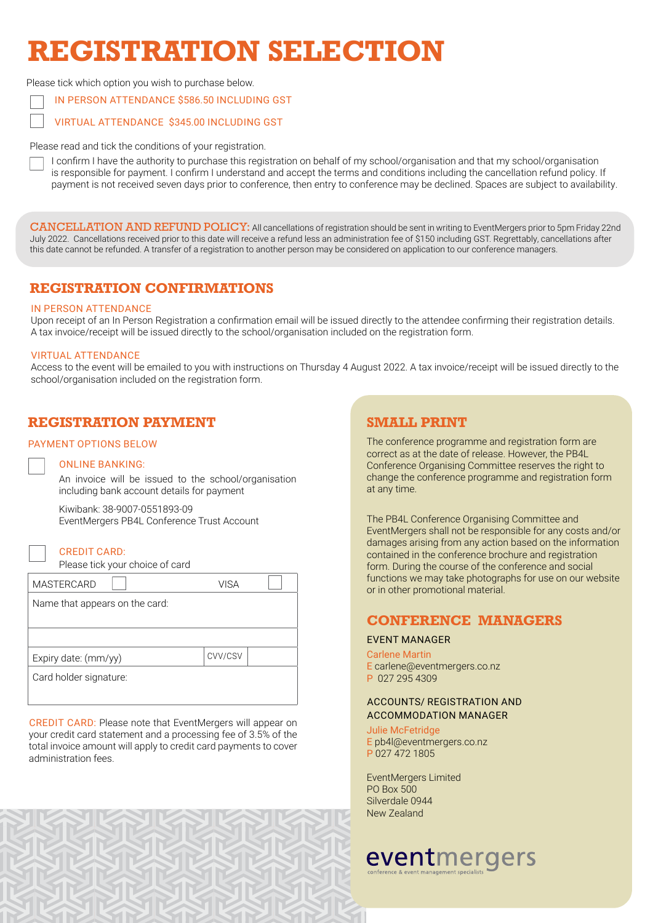# **REGISTRATION SELECTION**

Please tick which option you wish to purchase below.

IN PERSON ATTENDANCE \$586.50 INCLUDING GST

VIRTUAL ATTENDANCE \$345.00 INCLUDING GST

Please read and tick the conditions of your registration.

I confirm I have the authority to purchase this registration on behalf of my school/organisation and that my school/organisation is responsible for payment. I confirm I understand and accept the terms and conditions including the cancellation refund policy. If payment is not received seven days prior to conference, then entry to conference may be declined. Spaces are subject to availability.

CANCELLATION AND REFUND POLICY: All cancellations of registration should be sent in writing to EventMergers prior to 5pm Friday 22nd July 2022. Cancellations received prior to this date will receive a refund less an administration fee of \$150 including GST. Regrettably, cancellations after this date cannot be refunded. A transfer of a registration to another person may be considered on application to our conference managers.

# **REGISTRATION CONFIRMATIONS**

### IN PERSON ATTENDANCE

Upon receipt of an In Person Registration a confirmation email will be issued directly to the attendee confirming their registration details. A tax invoice/receipt will be issued directly to the school/organisation included on the registration form.

### VIRTUAL ATTENDANCE

Access to the event will be emailed to you with instructions on Thursday 4 August 2022. A tax invoice/receipt will be issued directly to the school/organisation included on the registration form.

# **REGISTRATION PAYMENT**

### PAYMENT OPTIONS BELOW

### ONLINE BANKING:

An invoice will be issued to the school/organisation including bank account details for payment

Kiwibank: 38-9007-0551893-09 EventMergers PB4L Conference Trust Account

### CREDIT CARD:

Please tick your choice of card

| <b>MASTERCARD</b>              | VISA    |  |
|--------------------------------|---------|--|
| Name that appears on the card: |         |  |
|                                |         |  |
|                                |         |  |
| Expiry date: (mm/yy)           | CVV/CSV |  |
| Card holder signature:         |         |  |
|                                |         |  |

CREDIT CARD: Please note that EventMergers will appear on your credit card statement and a processing fee of 3.5% of the total invoice amount will apply to credit card payments to cover administration fees.

# **SMALL PRINT**

The conference programme and registration form are correct as at the date of release. However, the PB4L Conference Organising Committee reserves the right to change the conference programme and registration form at any time.

The PB4L Conference Organising Committee and EventMergers shall not be responsible for any costs and/or damages arising from any action based on the information contained in the conference brochure and registration form. During the course of the conference and social functions we may take photographs for use on our website or in other promotional material.

# **CONFERENCE MANAGERS**

### EVENT MANAGER

### Carlene Martin

- E carlene@eventmergers.co.nz
- P 027 295 4309

## ACCOUNTS/ REGISTRATION AND ACCOMMODATION MANAGER

Julie McFetridge

E pb4l@eventmergers.co.nz P 027 472 1805

EventMergers Limited PO Box 500 Silverdale 0944 New Zealand

# eventmergers